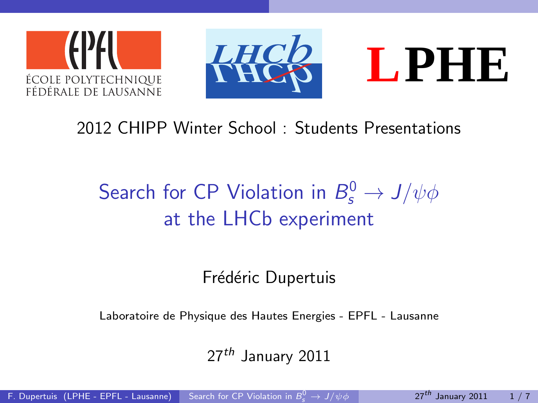





### 2012 CHIPP Winter School : Students Presentations

# Search for CP Violation in  $B_s^0 \rightarrow J/\psi \phi$ at the LHCb experiment

Frédéric Dupertuis

Laboratoire de Physique des Hautes Energies - EPFL - Lausanne

<span id="page-0-0"></span> $27<sup>th</sup>$  January 2011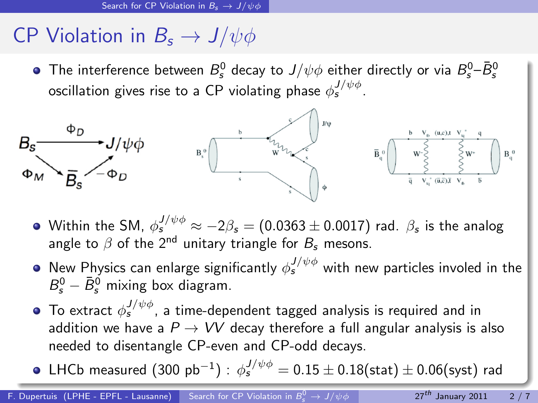# CP Violation in  $B_s \to J/\psi \phi$

The interference between  $B^0_s$  decay to  $J/\psi \phi$  either directly or via  $B^0_s$ – $\bar B^0_s$ oscillation gives rise to a CP violating phase  $\phi_s^{J/\psi \phi}$ .



- Within the SM,  $\phi_s^{J/\psi \phi}\approx -2\beta_{\sf s}=(0.0363\pm 0.0017)$  rad.  $\beta_{\sf s}$  is the analog angle to  $\beta$  of the 2<sup>nd</sup> unitary triangle for  $B_{\rm s}$  mesons.
- New Physics can enlarge significantly  $\phi_s^{J/\psi \phi}$  with new particles involed in the  $B_s^0 - \bar{B}_s^0$  mixing box diagram.
- To extract  $\phi_s^{J/\psi \phi}$ , a time-dependent tagged analysis is required and in addition we have a  $P \rightarrow VV$  decay therefore a full angular analysis is also needed to disentangle CP-even and CP-odd decays.
- <code>LHCb</code> measured  $(300\;\mathrm{pb^{-1}})$  :  $\phi_{\mathsf{s}}^{J/\psi\phi}=0.15\pm0.18(\mathrm{stat})\pm0.06(\mathrm{syst})$  rad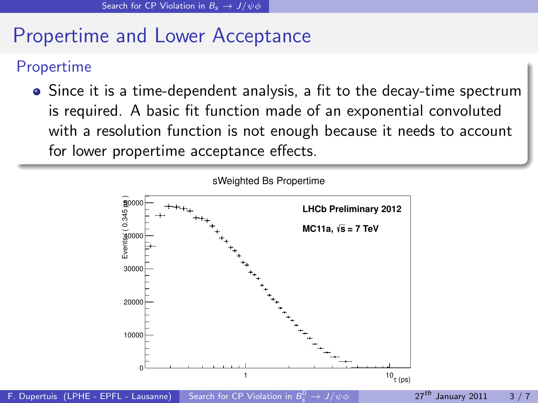# Propertime and Lower Acceptance

### Propertime

• Since it is a time-dependent analysis, a fit to the decay-time spectrum is required. A basic fit function made of an exponential convoluted with a resolution function is not enough because it needs to account for lower propertime acceptance effects.

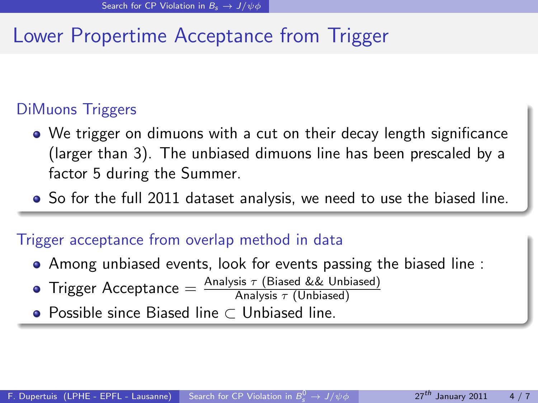# Lower Propertime Acceptance from Trigger

### DiMuons Triggers

- We trigger on dimuons with a cut on their decay length significance (larger than 3). The unbiased dimuons line has been prescaled by a factor 5 during the Summer.
- So for the full 2011 dataset analysis, we need to use the biased line.

#### Trigger acceptance from overlap method in data

- Among unbiased events, look for events passing the biased line :
- $\text{Trigger Acceptance} = \frac{\text{Analysis}\ \tau\ \text{(Biased \ \&\ \& \ \text{Unbiased})}}{\text{Analysis}\ \tau\ \text{(Unbiased)}}$
- Possible since Biased line ⊂ Unbiased line.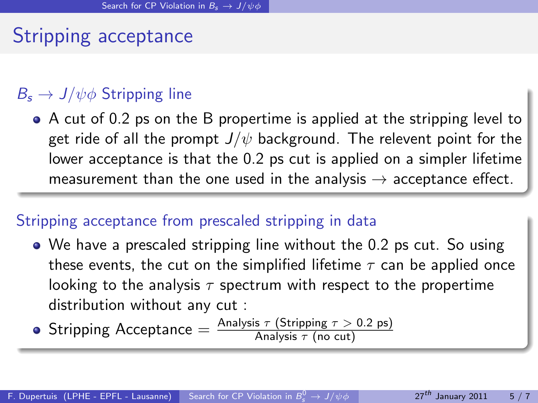## Stripping acceptance

### $B_s \to J/\psi \phi$  Stripping line

A cut of 0.2 ps on the B propertime is applied at the stripping level to get ride of all the prompt  $J/\psi$  background. The relevent point for the lower acceptance is that the 0.2 ps cut is applied on a simpler lifetime measurement than the one used in the analysis  $\rightarrow$  acceptance effect.

#### Stripping acceptance from prescaled stripping in data

We have a prescaled stripping line without the 0.2 ps cut. So using these events, the cut on the simplified lifetime  $\tau$  can be applied once looking to the analysis  $\tau$  spectrum with respect to the propertime distribution without any cut :

 $\textsf{String Area} \ \textsf{Accept} = \frac{\textsf{Analysis}\ \tau\ (\textsf{String}\ \tau>0.2\ \textsf{ps})}{\textsf{Analysis}\ \tau\ (\textsf{no}\ \textsf{cut})}$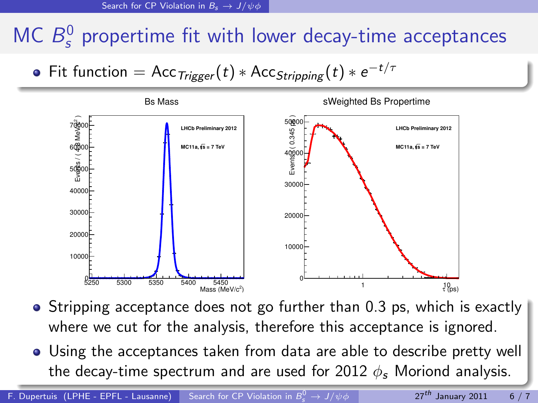# MC  $B_s^0$  propertime fit with lower decay-time acceptances

Fit function  $=$  Acc $_{Trigger}(t)$   $\ast$  Acc $_{Stripping}(t)$   $\ast$   $e^{-t/\tau}$ 



- Stripping acceptance does not go further than 0.3 ps, which is exactly where we cut for the analysis, therefore this acceptance is ignored.
- Using the acceptances taken from data are able to describe pretty well the decay-time spectrum and are used for 2012  $\phi$ , Moriond analysis.